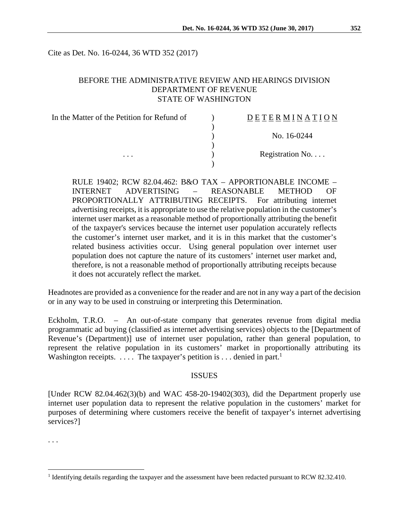Cite as Det. No. 16-0244, 36 WTD 352 (2017)

## BEFORE THE ADMINISTRATIVE REVIEW AND HEARINGS DIVISION DEPARTMENT OF REVENUE STATE OF WASHINGTON

| In the Matter of the Petition for Refund of | DETERMINATION   |
|---------------------------------------------|-----------------|
|                                             |                 |
|                                             | No. 16-0244     |
|                                             |                 |
| $\cdots$                                    | Registration No |
|                                             |                 |

RULE 19402; RCW 82.04.462: B&O TAX – APPORTIONABLE INCOME – INTERNET ADVERTISING – REASONABLE METHOD OF PROPORTIONALLY ATTRIBUTING RECEIPTS. For attributing internet advertising receipts, it is appropriate to use the relative population in the customer's internet user market as a reasonable method of proportionally attributing the benefit of the taxpayer's services because the internet user population accurately reflects the customer's internet user market, and it is in this market that the customer's related business activities occur. Using general population over internet user population does not capture the nature of its customers' internet user market and, therefore, is not a reasonable method of proportionally attributing receipts because it does not accurately reflect the market.

Headnotes are provided as a convenience for the reader and are not in any way a part of the decision or in any way to be used in construing or interpreting this Determination.

Eckholm, T.R.O. – An out-of-state company that generates revenue from digital media programmatic ad buying (classified as internet advertising services) objects to the [Department of Revenue's (Department)] use of internet user population, rather than general population, to represent the relative population in its customers' market in proportionally attributing its Washington receipts. .... The taxpayer's petition is ... denied in part.<sup>1</sup>

## ISSUES

[Under RCW 82.04.462(3)(b) and WAC 458-20-19402(303), did the Department properly use internet user population data to represent the relative population in the customers' market for purposes of determining where customers receive the benefit of taxpayer's internet advertising services?]

. . .

 $\overline{a}$ 

<sup>&</sup>lt;sup>1</sup> Identifying details regarding the taxpayer and the assessment have been redacted pursuant to RCW 82.32.410.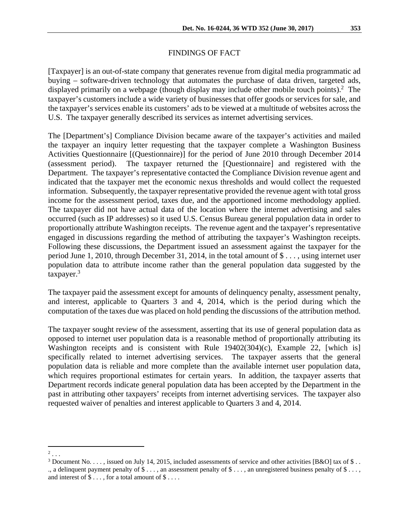## FINDINGS OF FACT

[Taxpayer] is an out-of-state company that generates revenue from digital media programmatic ad buying – software-driven technology that automates the purchase of data driven, targeted ads, displayed primarily on a webpage (though display may include other mobile touch points).<sup>2</sup> The taxpayer's customers include a wide variety of businesses that offer goods or services for sale, and the taxpayer's services enable its customers' ads to be viewed at a multitude of websites across the U.S. The taxpayer generally described its services as internet advertising services.

The [Department's] Compliance Division became aware of the taxpayer's activities and mailed the taxpayer an inquiry letter requesting that the taxpayer complete a Washington Business Activities Questionnaire [(Questionnaire)] for the period of June 2010 through December 2014 (assessment period). The taxpayer returned the [Questionnaire] and registered with the Department. The taxpayer's representative contacted the Compliance Division revenue agent and indicated that the taxpayer met the economic nexus thresholds and would collect the requested information. Subsequently, the taxpayer representative provided the revenue agent with total gross income for the assessment period, taxes due, and the apportioned income methodology applied. The taxpayer did not have actual data of the location where the internet advertising and sales occurred (such as IP addresses) so it used U.S. Census Bureau general population data in order to proportionally attribute Washington receipts. The revenue agent and the taxpayer's representative engaged in discussions regarding the method of attributing the taxpayer's Washington receipts. Following these discussions, the Department issued an assessment against the taxpayer for the period June 1, 2010, through December 31, 2014, in the total amount of \$ . . . , using internet user population data to attribute income rather than the general population data suggested by the  $taxpaver.<sup>3</sup>$ 

The taxpayer paid the assessment except for amounts of delinquency penalty, assessment penalty, and interest, applicable to Quarters 3 and 4, 2014, which is the period during which the computation of the taxes due was placed on hold pending the discussions of the attribution method.

The taxpayer sought review of the assessment, asserting that its use of general population data as opposed to internet user population data is a reasonable method of proportionally attributing its Washington receipts and is consistent with Rule 19402(304)(c), Example 22, [which is] specifically related to internet advertising services. The taxpayer asserts that the general population data is reliable and more complete than the available internet user population data, which requires proportional estimates for certain years. In addition, the taxpayer asserts that Department records indicate general population data has been accepted by the Department in the past in attributing other taxpayers' receipts from internet advertising services. The taxpayer also requested waiver of penalties and interest applicable to Quarters 3 and 4, 2014.

 $2 \ldots$ 

<sup>&</sup>lt;sup>3</sup> Document No. . . . , issued on July 14, 2015, included assessments of service and other activities [B&O] tax of \$ . . ., a delinquent payment penalty of  $\$\dots$$ , an assessment penalty of  $\$\dots$$ , an unregistered business penalty of  $\$\dots$ , and interest of  $\$\dots$ , for a total amount of  $\$\dots$ .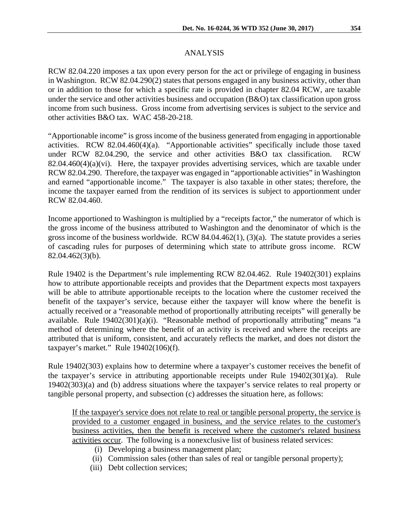RCW 82.04.220 imposes a tax upon every person for the act or privilege of engaging in business in Washington. RCW 82.04.290(2) states that persons engaged in any business activity, other than or in addition to those for which a specific rate is provided in chapter 82.04 RCW, are taxable under the service and other activities business and occupation (B&O) tax classification upon gross income from such business. Gross income from advertising services is subject to the service and other activities B&O tax. WAC 458-20-218.

"Apportionable income" is gross income of the business generated from engaging in apportionable activities. RCW 82.04.460(4)(a). "Apportionable activities" specifically include those taxed under RCW 82.04.290, the service and other activities B&O tax classification. RCW  $82.04.460(4)(a)(vi)$ . Here, the taxpayer provides advertising services, which are taxable under RCW 82.04.290. Therefore, the taxpayer was engaged in "apportionable activities" in Washington and earned "apportionable income." The taxpayer is also taxable in other states; therefore, the income the taxpayer earned from the rendition of its services is subject to apportionment under RCW 82.04.460.

Income apportioned to Washington is multiplied by a "receipts factor," the numerator of which is the gross income of the business attributed to Washington and the denominator of which is the gross income of the business worldwide. RCW 84.04.462(1), (3)(a). The statute provides a series of cascading rules for purposes of determining which state to attribute gross income. RCW 82.04.462(3)(b).

Rule 19402 is the Department's rule implementing RCW 82.04.462. Rule 19402(301) explains how to attribute apportionable receipts and provides that the Department expects most taxpayers will be able to attribute apportionable receipts to the location where the customer received the benefit of the taxpayer's service, because either the taxpayer will know where the benefit is actually received or a "reasonable method of proportionally attributing receipts" will generally be available. Rule 19402(301)(a)(i). "Reasonable method of proportionally attributing" means "a method of determining where the benefit of an activity is received and where the receipts are attributed that is uniform, consistent, and accurately reflects the market, and does not distort the taxpayer's market." Rule 19402(106)(f).

Rule 19402(303) explains how to determine where a taxpayer's customer receives the benefit of the taxpayer's service in attributing apportionable receipts under Rule 19402(301)(a). Rule 19402(303)(a) and (b) address situations where the taxpayer's service relates to real property or tangible personal property, and subsection (c) addresses the situation here, as follows:

If the taxpayer's service does not relate to real or tangible personal property, the service is provided to a customer engaged in business, and the service relates to the customer's business activities, then the benefit is received where the customer's related business activities occur. The following is a nonexclusive list of business related services:

- (i) Developing a business management plan;
- (ii) Commission sales (other than sales of real or tangible personal property);
- (iii) Debt collection services;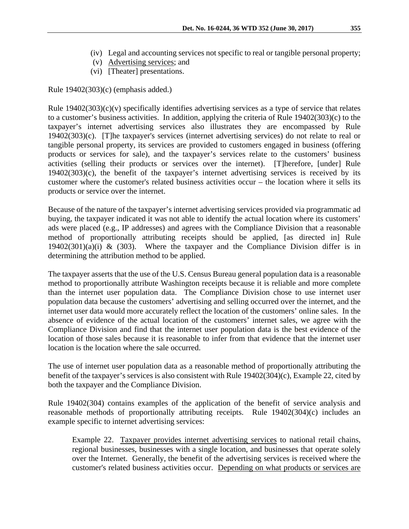- (iv) Legal and accounting services not specific to real or tangible personal property;
- (v) Advertising services; and
- (vi) [Theater] presentations.

Rule 19402(303)(c) (emphasis added.)

Rule  $19402(303)(c)(v)$  specifically identifies advertising services as a type of service that relates to a customer's business activities. In addition, applying the criteria of Rule 19402(303)(c) to the taxpayer's internet advertising services also illustrates they are encompassed by Rule 19402(303)(c). [T]he taxpayer's services (internet advertising services) do not relate to real or tangible personal property, its services are provided to customers engaged in business (offering products or services for sale), and the taxpayer's services relate to the customers' business activities (selling their products or services over the internet). [T]herefore, [under] Rule 19402(303)(c), the benefit of the taxpayer's internet advertising services is received by its customer where the customer's related business activities occur – the location where it sells its products or service over the internet.

Because of the nature of the taxpayer's internet advertising services provided via programmatic ad buying, the taxpayer indicated it was not able to identify the actual location where its customers' ads were placed (e.g., IP addresses) and agrees with the Compliance Division that a reasonable method of proportionally attributing receipts should be applied, [as directed in] Rule  $19402(301)(a)(i)$  & (303). Where the taxpayer and the Compliance Division differ is in determining the attribution method to be applied.

The taxpayer asserts that the use of the U.S. Census Bureau general population data is a reasonable method to proportionally attribute Washington receipts because it is reliable and more complete than the internet user population data. The Compliance Division chose to use internet user population data because the customers' advertising and selling occurred over the internet, and the internet user data would more accurately reflect the location of the customers' online sales. In the absence of evidence of the actual location of the customers' internet sales, we agree with the Compliance Division and find that the internet user population data is the best evidence of the location of those sales because it is reasonable to infer from that evidence that the internet user location is the location where the sale occurred.

The use of internet user population data as a reasonable method of proportionally attributing the benefit of the taxpayer's services is also consistent with Rule 19402(304)(c), Example 22, cited by both the taxpayer and the Compliance Division.

Rule 19402(304) contains examples of the application of the benefit of service analysis and reasonable methods of proportionally attributing receipts. Rule 19402(304)(c) includes an example specific to internet advertising services:

Example 22. Taxpayer provides internet advertising services to national retail chains, regional businesses, businesses with a single location, and businesses that operate solely over the Internet. Generally, the benefit of the advertising services is received where the customer's related business activities occur. Depending on what products or services are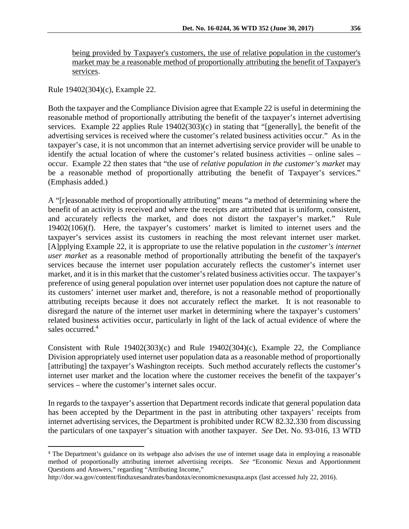being provided by Taxpayer's customers, the use of relative population in the customer's market may be a reasonable method of proportionally attributing the benefit of Taxpayer's services.

Rule 19402(304)(c), Example 22.

 $\overline{a}$ 

Both the taxpayer and the Compliance Division agree that Example 22 is useful in determining the reasonable method of proportionally attributing the benefit of the taxpayer's internet advertising services. Example 22 applies Rule 19402(303)(c) in stating that "[generally], the benefit of the advertising services is received where the customer's related business activities occur." As in the taxpayer's case, it is not uncommon that an internet advertising service provider will be unable to identify the actual location of where the customer's related business activities – online sales – occur. Example 22 then states that "the use of *relative population in the customer's market* may be a reasonable method of proportionally attributing the benefit of Taxpayer's services." (Emphasis added.)

A "[r]easonable method of proportionally attributing" means "a method of determining where the benefit of an activity is received and where the receipts are attributed that is uniform, consistent, and accurately reflects the market, and does not distort the taxpayer's market." Rule 19402(106)(f). Here, the taxpayer's customers' market is limited to internet users and the taxpayer's services assist its customers in reaching the most relevant internet user market. [A]pplying Example 22, it is appropriate to use the relative population in *the customer's internet user market* as a reasonable method of proportionally attributing the benefit of the taxpayer's services because the internet user population accurately reflects the customer's internet user market, and it is in this market that the customer's related business activities occur. The taxpayer's preference of using general population over internet user population does not capture the nature of its customers' internet user market and, therefore, is not a reasonable method of proportionally attributing receipts because it does not accurately reflect the market. It is not reasonable to disregard the nature of the internet user market in determining where the taxpayer's customers' related business activities occur, particularly in light of the lack of actual evidence of where the sales occurred.<sup>4</sup>

Consistent with Rule 19402(303)(c) and Rule 19402(304)(c), Example 22, the Compliance Division appropriately used internet user population data as a reasonable method of proportionally [attributing] the taxpayer's Washington receipts. Such method accurately reflects the customer's internet user market and the location where the customer receives the benefit of the taxpayer's services – where the customer's internet sales occur.

In regards to the taxpayer's assertion that Department records indicate that general population data has been accepted by the Department in the past in attributing other taxpayers' receipts from internet advertising services, the Department is prohibited under RCW 82.32.330 from discussing the particulars of one taxpayer's situation with another taxpayer. *See* Det. No. 93-016, 13 WTD

<sup>&</sup>lt;sup>4</sup> The Department's guidance on its webpage also advises the use of internet usage data in employing a reasonable method of proportionally attributing internet advertising receipts. *See* "Economic Nexus and Apportionment Questions and Answers," regarding "Attributing Income,"

http://dor.wa.gov/content/findtaxesandrates/bandotax/economicnexusqna.aspx (last accessed July 22, 2016).